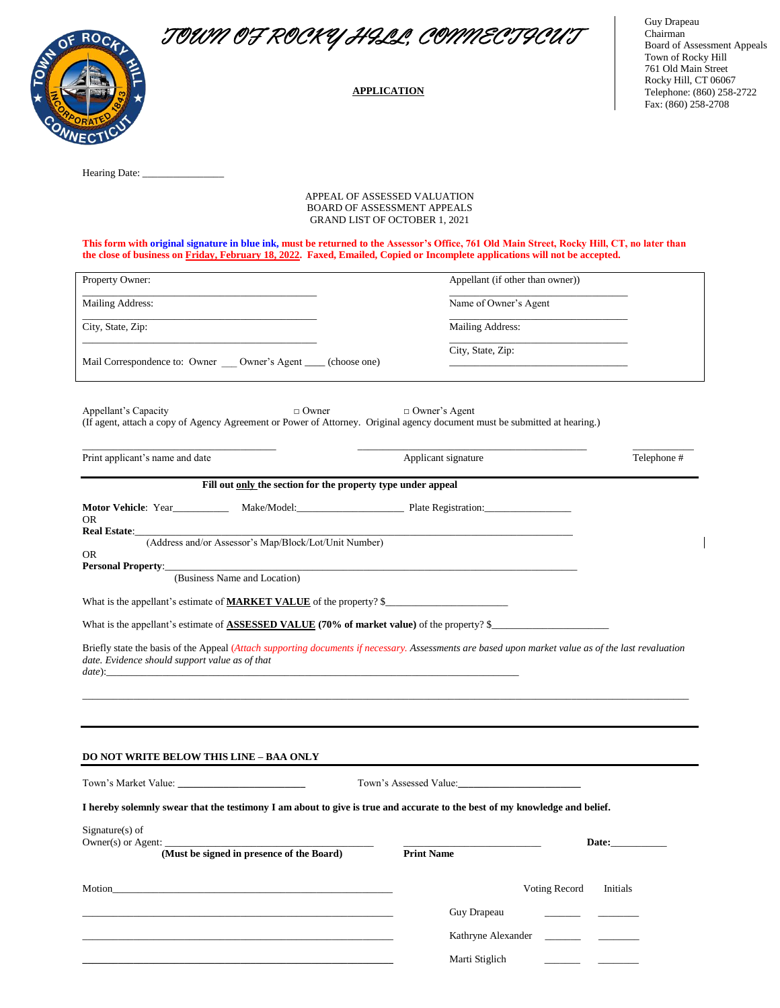

TOWN OF ROCKY HILL, CONNECTICUT

**APPLICATION**

Guy Drapeau Chairman Board of Assessment Appeals Town of Rocky Hill 761 Old Main Street Rocky Hill, CT 06067 Telephone: (860) 258-2722 Fax: (860) 258-2708

Hearing Date:

# APPEAL OF ASSESSED VALUATION BOARD OF ASSESSMENT APPEALS GRAND LIST OF OCTOBER 1, 2021

| This form with original signature in blue ink, must be returned to the Assessor's Office, 761 Old Main Street, Rocky Hill, CT, no later than |  |
|----------------------------------------------------------------------------------------------------------------------------------------------|--|
| the close of business on Friday, February 18, 2022. Faxed, Emailed, Copied or Incomplete applications will not be accepted.                  |  |

| Property Owner:                                                                                                                                                                                                    |              | Appellant (if other than owner)) |             |
|--------------------------------------------------------------------------------------------------------------------------------------------------------------------------------------------------------------------|--------------|----------------------------------|-------------|
| Mailing Address:                                                                                                                                                                                                   |              | Name of Owner's Agent            |             |
| City, State, Zip:                                                                                                                                                                                                  |              | Mailing Address:                 |             |
| Mail Correspondence to: Owner ___ Owner's Agent ____ (choose one)                                                                                                                                                  |              | City, State, Zip:                |             |
| Appellant's Capacity<br>(If agent, attach a copy of Agency Agreement or Power of Attorney. Original agency document must be submitted at hearing.)                                                                 | $\Box$ Owner | □ Owner's Agent                  |             |
| Print applicant's name and date                                                                                                                                                                                    |              | Applicant signature              | Telephone # |
| Fill out only the section for the property type under appeal                                                                                                                                                       |              |                                  |             |
| OR.                                                                                                                                                                                                                |              |                                  |             |
| Real Estate:<br>(Address and/or Assessor's Map/Block/Lot/Unit Number)<br><b>OR</b><br><b>Personal Property:</b>                                                                                                    |              |                                  |             |
| (Business Name and Location)                                                                                                                                                                                       |              |                                  |             |
| What is the appellant's estimate of <b>MARKET VALUE</b> of the property? \$                                                                                                                                        |              |                                  |             |
| What is the appellant's estimate of <b>ASSESSED VALUE</b> (70% of market value) of the property? \$                                                                                                                |              |                                  |             |
| Briefly state the basis of the Appeal (Attach supporting documents if necessary. Assessments are based upon market value as of the last revaluation<br>date. Evidence should support value as of that<br>$date)$ : |              |                                  |             |
| <b>DO NOT WRITE BELOW THIS LINE - BAA ONLY</b>                                                                                                                                                                     |              |                                  |             |
|                                                                                                                                                                                                                    |              |                                  |             |
| I hereby solemnly swear that the testimony I am about to give is true and accurate to the best of my knowledge and belief.                                                                                         |              |                                  |             |
|                                                                                                                                                                                                                    |              |                                  |             |
| $Signature(s)$ of<br>$Owner(s)$ or Agent:<br>(Must be signed in presence of the Board)                                                                                                                             |              | <b>Print Name</b>                | Date:       |
| Motion                                                                                                                                                                                                             |              | Voting Record                    | Initials    |

\_\_\_\_\_\_\_\_\_\_\_\_\_\_\_\_\_\_\_\_\_\_\_\_\_\_\_\_\_\_\_\_\_\_\_\_\_\_\_\_\_\_\_\_\_\_\_\_\_\_\_\_\_\_\_\_\_\_\_\_\_ Guy Drapeau \_\_\_\_\_\_\_ \_\_\_\_\_\_\_\_ Kathryne Alexander \_\_\_\_\_\_\_\_\_\_ \_\_ **\_\_\_\_\_\_\_\_\_\_\_\_\_\_\_\_\_\_\_\_\_\_\_\_\_\_\_\_\_\_\_\_\_\_\_\_\_\_\_\_\_\_\_\_\_\_\_\_\_\_\_\_\_\_\_\_\_\_\_\_\_** Marti Stiglich \_\_\_\_\_\_\_ \_\_\_\_\_\_\_\_